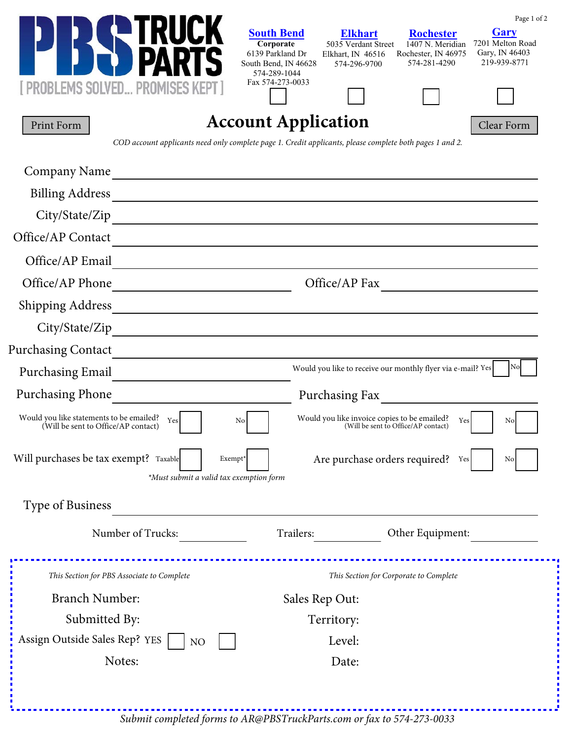|                                                                                                                                                 |                                                          |                                                             |                                            | Page 1 of 2                     |
|-------------------------------------------------------------------------------------------------------------------------------------------------|----------------------------------------------------------|-------------------------------------------------------------|--------------------------------------------|---------------------------------|
|                                                                                                                                                 | <b>South Bend</b><br>Corporate                           | <b>Elkhart</b><br>5035 Verdant Street                       | <b>Rochester</b><br>1407 N. Meridian       | <b>Gary</b><br>7201 Melton Road |
|                                                                                                                                                 | 6139 Parkland Dr<br>South Bend, IN 46628<br>574-289-1044 | Elkhart, IN 46516<br>574-296-9700                           | Rochester, IN 46975<br>574-281-4290        | Gary, IN 46403<br>219-939-8771  |
| <b>PROBLEMS SOLVED PROMISES KEPT.</b>                                                                                                           | Fax 574-273-0033                                         |                                                             |                                            |                                 |
| Print Form                                                                                                                                      | <b>Account Application</b>                               |                                                             |                                            | Clear Form                      |
| COD account applicants need only complete page 1. Credit applicants, please complete both pages 1 and 2.                                        |                                                          |                                                             |                                            |                                 |
| Company Name<br><u> 1989 - Johann Stoff, deutscher Stoff, der Stoff, der Stoff, der Stoff, der Stoff, der Stoff, der Stoff, der S</u>           |                                                          |                                                             |                                            |                                 |
| <b>Billing Address</b><br><u> 1989 - Johann John Stone, markin film yn y brening yn y brening yn y brening yn y brening y brening yn y bre</u>  |                                                          |                                                             |                                            |                                 |
| City/State/Zip<br><u> 1980 - Johann Barn, mars an t-Amerikaansk politiker (* 1908)</u>                                                          |                                                          |                                                             |                                            |                                 |
| Office/AP Contact                                                                                                                               |                                                          |                                                             |                                            |                                 |
| Office/AP Email<br>the contract of the contract of the contract of the contract of the contract of the contract of the contract of              |                                                          |                                                             |                                            |                                 |
| Office/AP Phone<br><u> 1989 - Andrea Station, amerikansk politiker (d. 1989)</u>                                                                |                                                          | Office/AP Fax                                               |                                            |                                 |
| <b>Shipping Address</b><br><u> 1989 - Johann Harry Barn, mars ar breist fan de Amerikaansk kommunent fan de Amerikaanske kommunent fan de A</u> |                                                          |                                                             |                                            |                                 |
| City/State/Zip                                                                                                                                  |                                                          |                                                             |                                            |                                 |
| <b>Purchasing Contact</b>                                                                                                                       |                                                          |                                                             |                                            |                                 |
| <b>Purchasing Email</b>                                                                                                                         |                                                          | Would you like to receive our monthly flyer via e-mail? Yes |                                            | No                              |
| <b>Purchasing Phone</b>                                                                                                                         |                                                          | Purchasing Fax                                              |                                            |                                 |
| Would you like statements to be emailed? $Y_{\text{es}}$<br>No<br>(Will be sent to Office/AP contact)                                           |                                                          | Would you like invoice copies to be emailed?                | Yes<br>(Will be sent to Office/AP contact) | No                              |
| Will purchases be tax exempt? Taxable<br>Exempt*<br>*Must submit a valid tax exemption form                                                     |                                                          | Are purchase orders required?                               | Yes                                        | No                              |
| Type of Business                                                                                                                                |                                                          |                                                             |                                            |                                 |
| Number of Trucks:                                                                                                                               | Trailers:                                                |                                                             | Other Equipment:                           |                                 |
| This Section for PBS Associate to Complete                                                                                                      |                                                          | This Section for Corporate to Complete                      |                                            |                                 |
| <b>Branch Number:</b>                                                                                                                           |                                                          | Sales Rep Out:                                              |                                            |                                 |
| Submitted By:                                                                                                                                   |                                                          | Territory:                                                  |                                            |                                 |
| Assign Outside Sales Rep? YES<br>NO                                                                                                             | Level:                                                   |                                                             |                                            |                                 |
| Notes:<br>Date:                                                                                                                                 |                                                          |                                                             |                                            |                                 |
|                                                                                                                                                 |                                                          |                                                             |                                            |                                 |
|                                                                                                                                                 |                                                          |                                                             |                                            |                                 |